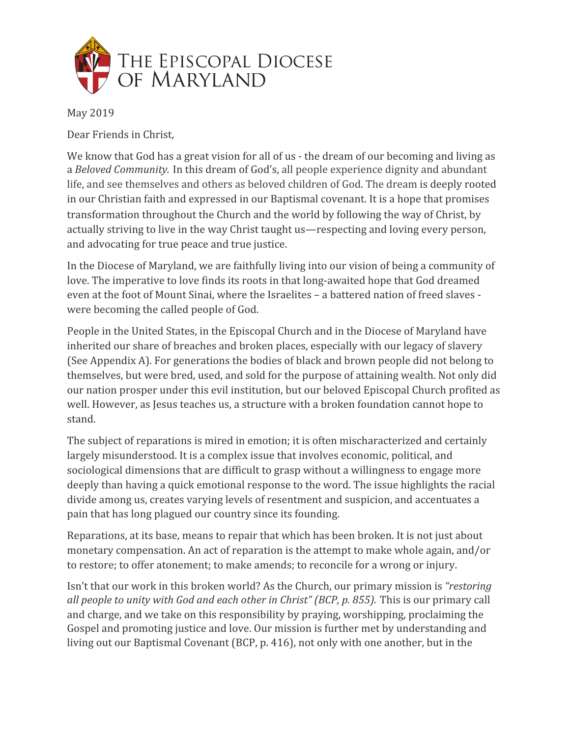

May 2019

Dear Friends in Christ,

We know that God has a great vision for all of us - the dream of our becoming and living as a *Beloved Community.* In this dream of God's, all people experience dignity and abundant life, and see themselves and others as beloved children of God. The dream is deeply rooted in our Christian faith and expressed in our Baptismal covenant. It is a hope that promises transformation throughout the Church and the world by following the way of Christ, by actually striving to live in the way Christ taught us—respecting and loving every person, and advocating for true peace and true justice.

In the Diocese of Maryland, we are faithfully living into our vision of being a community of love. The imperative to love finds its roots in that long-awaited hope that God dreamed even at the foot of Mount Sinai, where the Israelites – a battered nation of freed slaves were becoming the called people of God.

People in the United States, in the Episcopal Church and in the Diocese of Maryland have inherited our share of breaches and broken places, especially with our legacy of slavery (See Appendix A). For generations the bodies of black and brown people did not belong to themselves, but were bred, used, and sold for the purpose of attaining wealth. Not only did our nation prosper under this evil institution, but our beloved Episcopal Church profited as well. However, as Jesus teaches us, a structure with a broken foundation cannot hope to stand.

The subject of reparations is mired in emotion; it is often mischaracterized and certainly largely misunderstood. It is a complex issue that involves economic, political, and sociological dimensions that are difficult to grasp without a willingness to engage more deeply than having a quick emotional response to the word. The issue highlights the racial divide among us, creates varying levels of resentment and suspicion, and accentuates a pain that has long plagued our country since its founding.

Reparations, at its base, means to repair that which has been broken. It is not just about monetary compensation. An act of reparation is the attempt to make whole again, and/or to restore; to offer atonement; to make amends; to reconcile for a wrong or injury.

Isn't that our work in this broken world? As the Church, our primary mission is *"restoring all people to unity with God and each other in Christ" (BCP, p. 855).* This is our primary call and charge, and we take on this responsibility by praying, worshipping, proclaiming the Gospel and promoting justice and love. Our mission is further met by understanding and living out our Baptismal Covenant (BCP, p. 416), not only with one another, but in the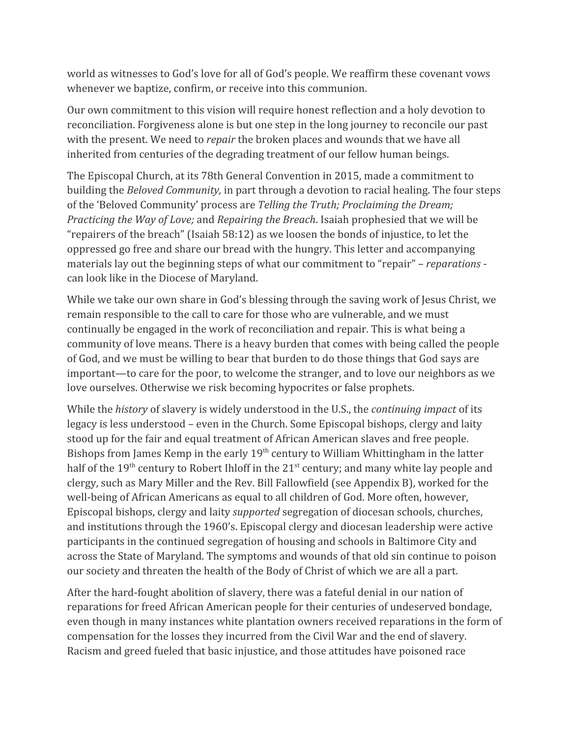world as witnesses to God's love for all of God's people. We reaffirm these covenant vows whenever we baptize, confirm, or receive into this communion.

Our own commitment to this vision will require honest reflection and a holy devotion to reconciliation. Forgiveness alone is but one step in the long journey to reconcile our past with the present. We need to *repair* the broken places and wounds that we have all inherited from centuries of the degrading treatment of our fellow human beings.

The Episcopal Church, at its 78th General Convention in 2015, made a commitment to building the *Beloved Community,* in part through a devotion to racial healing. The four steps of the 'Beloved Community' process are *Telling the Truth; Proclaiming the Dream; Practicing the Way of Love;* and *Repairing the Breach*. Isaiah prophesied that we will be "repairers of the breach" (Isaiah 58:12) as we loosen the bonds of injustice, to let the oppressed go free and share our bread with the hungry. This letter and accompanying materials lay out the beginning steps of what our commitment to "repair" – *reparations* can look like in the Diocese of Maryland.

While we take our own share in God's blessing through the saving work of Jesus Christ, we remain responsible to the call to care for those who are vulnerable, and we must continually be engaged in the work of reconciliation and repair. This is what being a community of love means. There is a heavy burden that comes with being called the people of God, and we must be willing to bear that burden to do those things that God says are important—to care for the poor, to welcome the stranger, and to love our neighbors as we love ourselves. Otherwise we risk becoming hypocrites or false prophets.

While the *history* of slavery is widely understood in the U.S., the *continuing impact* of its legacy is less understood – even in the Church. Some Episcopal bishops, clergy and laity stood up for the fair and equal treatment of African American slaves and free people. Bishops from James Kemp in the early 19<sup>th</sup> century to William Whittingham in the latter half of the  $19<sup>th</sup>$  century to Robert Ihloff in the  $21<sup>st</sup>$  century; and many white lay people and clergy, such as Mary Miller and the Rev. Bill Fallowfield (see Appendix B), worked for the well-being of African Americans as equal to all children of God. More often, however, Episcopal bishops, clergy and laity *supported* segregation of diocesan schools, churches, and institutions through the 1960's. Episcopal clergy and diocesan leadership were active participants in the continued segregation of housing and schools in Baltimore City and across the State of Maryland. The symptoms and wounds of that old sin continue to poison our society and threaten the health of the Body of Christ of which we are all a part.

After the hard-fought abolition of slavery, there was a fateful denial in our nation of reparations for freed African American people for their centuries of undeserved bondage, even though in many instances white plantation owners received reparations in the form of compensation for the losses they incurred from the Civil War and the end of slavery. Racism and greed fueled that basic injustice, and those attitudes have poisoned race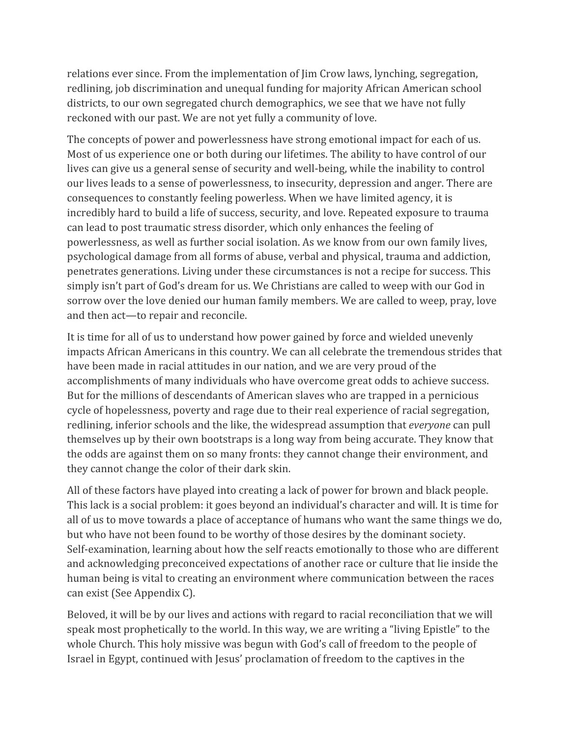relations ever since. From the implementation of Jim Crow laws, lynching, segregation, redlining, job discrimination and unequal funding for majority African American school districts, to our own segregated church demographics, we see that we have not fully reckoned with our past. We are not yet fully a community of love.

The concepts of power and powerlessness have strong emotional impact for each of us. Most of us experience one or both during our lifetimes. The ability to have control of our lives can give us a general sense of security and well-being, while the inability to control our lives leads to a sense of powerlessness, to insecurity, depression and anger. There are consequences to constantly feeling powerless. When we have limited agency, it is incredibly hard to build a life of success, security, and love. Repeated exposure to trauma can lead to post traumatic stress disorder, which only enhances the feeling of powerlessness, as well as further social isolation. As we know from our own family lives, psychological damage from all forms of abuse, verbal and physical, trauma and addiction, penetrates generations. Living under these circumstances is not a recipe for success. This simply isn't part of God's dream for us. We Christians are called to weep with our God in sorrow over the love denied our human family members. We are called to weep, pray, love and then act—to repair and reconcile.

It is time for all of us to understand how power gained by force and wielded unevenly impacts African Americans in this country. We can all celebrate the tremendous strides that have been made in racial attitudes in our nation, and we are very proud of the accomplishments of many individuals who have overcome great odds to achieve success. But for the millions of descendants of American slaves who are trapped in a pernicious cycle of hopelessness, poverty and rage due to their real experience of racial segregation, redlining, inferior schools and the like, the widespread assumption that *everyone* can pull themselves up by their own bootstraps is a long way from being accurate. They know that the odds are against them on so many fronts: they cannot change their environment, and they cannot change the color of their dark skin.

All of these factors have played into creating a lack of power for brown and black people. This lack is a social problem: it goes beyond an individual's character and will. It is time for all of us to move towards a place of acceptance of humans who want the same things we do, but who have not been found to be worthy of those desires by the dominant society. Self-examination, learning about how the self reacts emotionally to those who are different and acknowledging preconceived expectations of another race or culture that lie inside the human being is vital to creating an environment where communication between the races can exist (See Appendix C).

Beloved, it will be by our lives and actions with regard to racial reconciliation that we will speak most prophetically to the world. In this way, we are writing a "living Epistle" to the whole Church. This holy missive was begun with God's call of freedom to the people of Israel in Egypt, continued with Jesus' proclamation of freedom to the captives in the